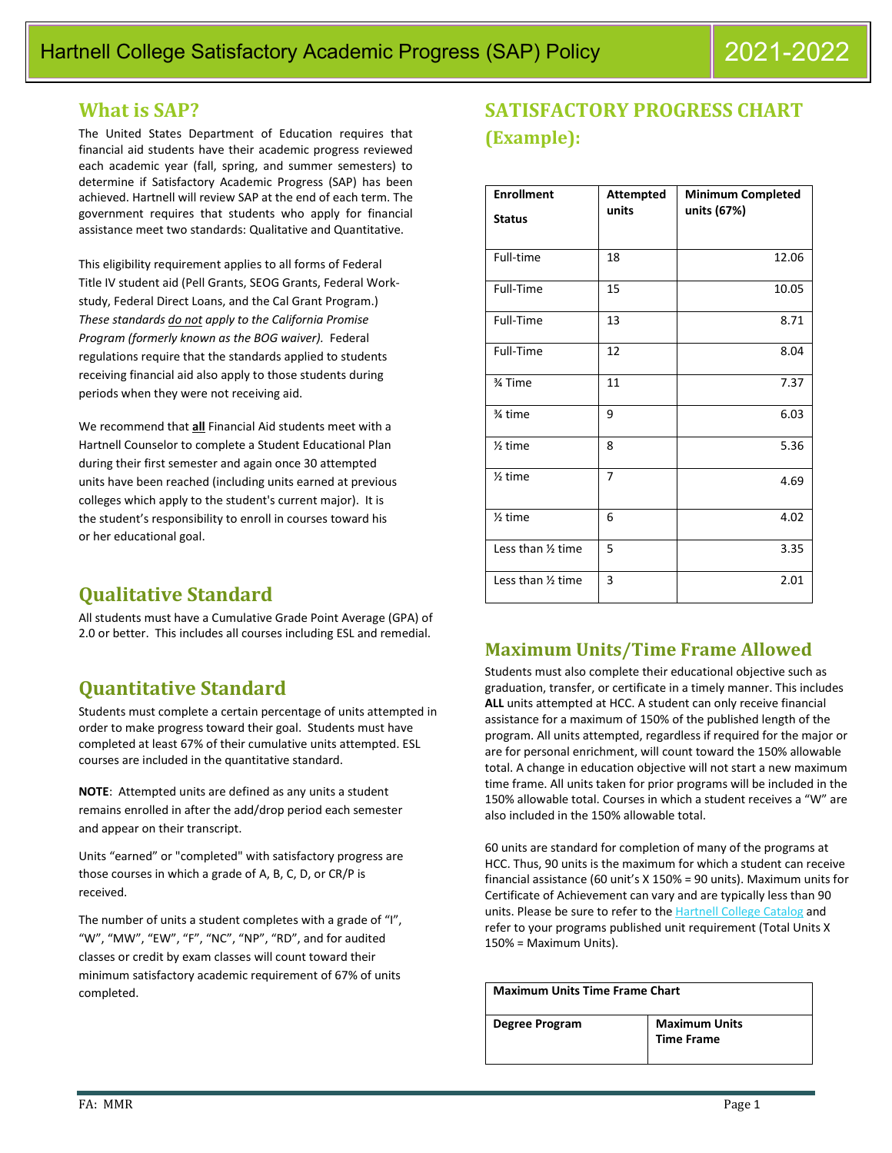## **What is SAP?**

The United States Department of Education requires that financial aid students have their academic progress reviewed each academic year (fall, spring, and summer semesters) to determine if Satisfactory Academic Progress (SAP) has been achieved. Hartnell will review SAP at the end of each term. The government requires that students who apply for financial assistance meet two standards: Qualitative and Quantitative.

This eligibility requirement applies to all forms of Federal Title IV student aid (Pell Grants, SEOG Grants, Federal Workstudy, Federal Direct Loans, and the Cal Grant Program.) *These standards do not apply to the California Promise Program (formerly known as the BOG waiver).* Federal regulations require that the standards applied to students receiving financial aid also apply to those students during periods when they were not receiving aid.

We recommend that **all** Financial Aid students meet with a Hartnell Counselor to complete a Student Educational Plan during their first semester and again once 30 attempted units have been reached (including units earned at previous colleges which apply to the student's current major). It is the student's responsibility to enroll in courses toward his or her educational goal.

# **Qualitative Standard**

All students must have a Cumulative Grade Point Average (GPA) of 2.0 or better. This includes all courses including ESL and remedial.

# **Quantitative Standard**

Students must complete a certain percentage of units attempted in order to make progress toward their goal. Students must have completed at least 67% of their cumulative units attempted. ESL courses are included in the quantitative standard.

**NOTE**: Attempted units are defined as any units a student remains enrolled in after the add/drop period each semester and appear on their transcript.

Units "earned" or "completed" with satisfactory progress are those courses in which a grade of A, B, C, D, or CR/P is received.

The number of units a student completes with a grade of "I", "W", "MW", "EW", "F", "NC", "NP", "RD", and for audited classes or credit by exam classes will count toward their minimum satisfactory academic requirement of 67% of units completed.

# **SATISFACTORY PROGRESS CHART (Example):**

| <b>Enrollment</b>  | <b>Attempted</b> | <b>Minimum Completed</b> |
|--------------------|------------------|--------------------------|
| <b>Status</b>      | units            | units (67%)              |
|                    |                  |                          |
| Full-time          | 18               | 12.06                    |
| Full-Time          | 15               | 10.05                    |
| Full-Time          | 13               | 8.71                     |
| Full-Time          | 12               | 8.04                     |
| 3⁄4 Time           | 11               | 7.37                     |
| % time             | 9                | 6.03                     |
| $1$ time           | 8                | 5.36                     |
| $2$ time           | 7                | 4.69                     |
| $\frac{1}{2}$ time | 6                | 4.02                     |
| Less than 1/2 time | 5                | 3.35                     |
| Less than 1/2 time | 3                | 2.01                     |

## **Maximum Units/Time Frame Allowed**

Students must also complete their educational objective such as graduation, transfer, or certificate in a timely manner. This includes **ALL** units attempted at HCC. A student can only receive financial assistance for a maximum of 150% of the published length of the program. All units attempted, regardless if required for the major or are for personal enrichment, will count toward the 150% allowable total. A change in education objective will not start a new maximum time frame. All units taken for prior programs will be included in the 150% allowable total. Courses in which a student receives a "W" are also included in the 150% allowable total.

60 units are standard for completion of many of the programs at HCC. Thus, 90 units is the maximum for which a student can receive financial assistance (60 unit's X 150% = 90 units). Maximum units for Certificate of Achievement can vary and are typically less than 90 units. Please be sure to refer to the [Hartnell College Catalog](https://www.hartnell.edu/academics-affairs/catalogs.html) and refer to your programs published unit requirement (Total Units X 150% = Maximum Units).

| <b>Maximum Units Time Frame Chart</b> |                                           |  |
|---------------------------------------|-------------------------------------------|--|
| Degree Program                        | <b>Maximum Units</b><br><b>Time Frame</b> |  |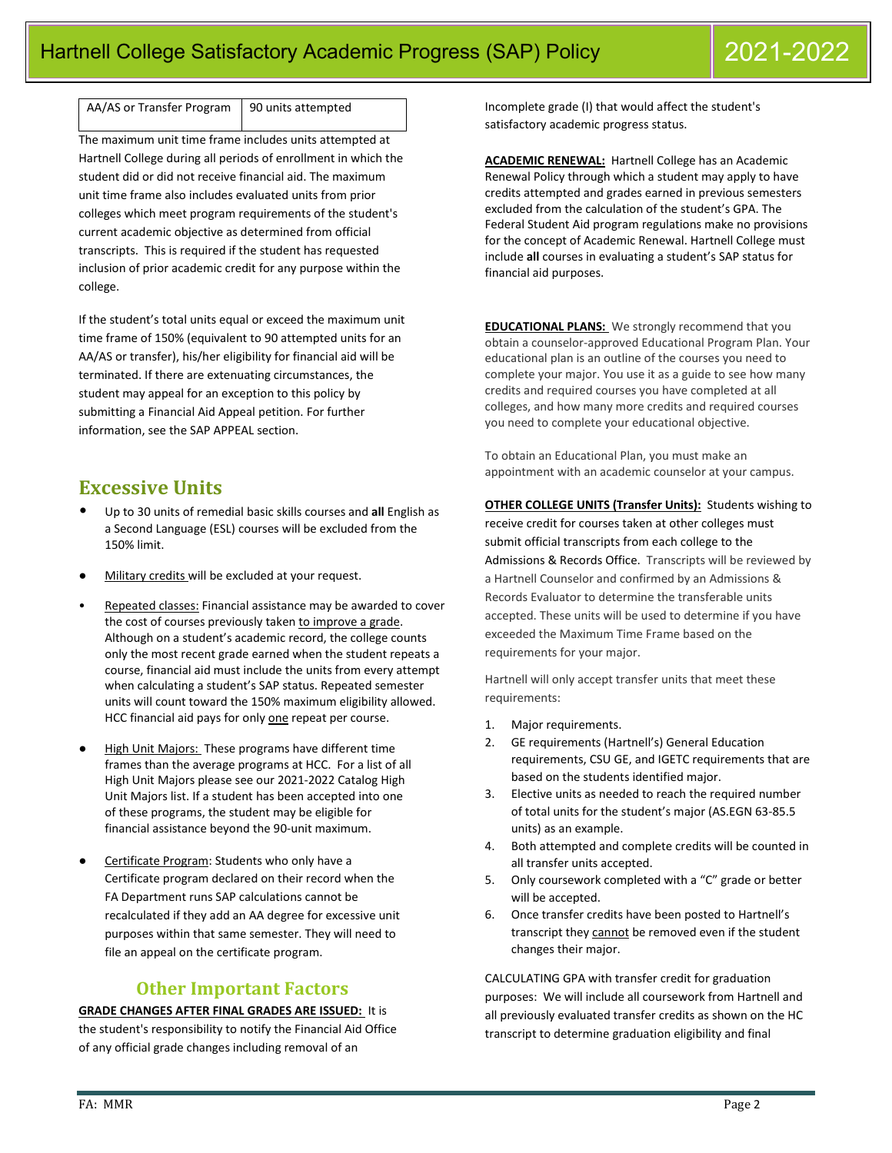AA/AS or Transfer Program  $\vert$  90 units attempted

The maximum unit time frame includes units attempted at Hartnell College during all periods of enrollment in which the student did or did not receive financial aid. The maximum unit time frame also includes evaluated units from prior colleges which meet program requirements of the student's current academic objective as determined from official transcripts. This is required if the student has requested inclusion of prior academic credit for any purpose within the college.

If the student's total units equal or exceed the maximum unit time frame of 150% (equivalent to 90 attempted units for an AA/AS or transfer), his/her eligibility for financial aid will be terminated. If there are extenuating circumstances, the student may appeal for an exception to this policy by submitting a Financial Aid Appeal petition. For further information, see the SAP APPEAL section.

## **Excessive Units**

- Up to 30 units of remedial basic skills courses and **all** English as a Second Language (ESL) courses will be excluded from the 150% limit.
- Military credits will be excluded at your request.
- Repeated classes: Financial assistance may be awarded to cover the cost of courses previously taken to improve a grade. Although on a student's academic record, the college counts only the most recent grade earned when the student repeats a course, financial aid must include the units from every attempt when calculating a student's SAP status. Repeated semester units will count toward the 150% maximum eligibility allowed. HCC financial aid pays for only one repeat per course.
- High Unit Majors: These programs have different time frames than the average programs at HCC. For a list of all High Unit Majors please see our 2021-2022 Catalog High Unit Majors list. If a student has been accepted into one of these programs, the student may be eligible for financial assistance beyond the 90-unit maximum.
- Certificate Program: Students who only have a Certificate program declared on their record when the FA Department runs SAP calculations cannot be recalculated if they add an AA degree for excessive unit purposes within that same semester. They will need to file an appeal on the certificate program.

### **Other Important Factors**

**GRADE CHANGES AFTER FINAL GRADES ARE ISSUED:** It is the student's responsibility to notify the Financial Aid Office of any official grade changes including removal of an

Incomplete grade (I) that would affect the student's satisfactory academic progress status.

**ACADEMIC RENEWAL:** Hartnell College has an Academic Renewal Policy through which a student may apply to have credits attempted and grades earned in previous semesters excluded from the calculation of the student's GPA. The Federal Student Aid program regulations make no provisions for the concept of Academic Renewal. Hartnell College must include **all** courses in evaluating a student's SAP status for financial aid purposes.

**EDUCATIONAL PLANS:** We strongly recommend that you obtain a counselor-approved Educational Program Plan. Your educational plan is an outline of the courses you need to complete your major. You use it as a guide to see how many credits and required courses you have completed at all colleges, and how many more credits and required courses you need to complete your educational objective.

To obtain an Educational Plan, you must make an appointment with an academic counselor at your campus.

#### **OTHER COLLEGE UNITS (Transfer Units):** Students wishing to

receive credit for courses taken at other colleges must submit official transcripts from each college to the Admissions & Records Office. Transcripts will be reviewed by a Hartnell Counselor and confirmed by an Admissions & Records Evaluator to determine the transferable units accepted. These units will be used to determine if you have exceeded the Maximum Time Frame based on the requirements for your major.

Hartnell will only accept transfer units that meet these requirements:

- 1. Major requirements.
- 2. GE requirements (Hartnell's) General Education requirements, CSU GE, and IGETC requirements that are based on the students identified major.
- 3. Elective units as needed to reach the required number of total units for the student's major (AS.EGN 63-85.5 units) as an example.
- 4. Both attempted and complete credits will be counted in all transfer units accepted.
- 5. Only coursework completed with a "C" grade or better will be accepted.
- 6. Once transfer credits have been posted to Hartnell's transcript they cannot be removed even if the student changes their major.

CALCULATING GPA with transfer credit for graduation purposes: We will include all coursework from Hartnell and all previously evaluated transfer credits as shown on the HC transcript to determine graduation eligibility and final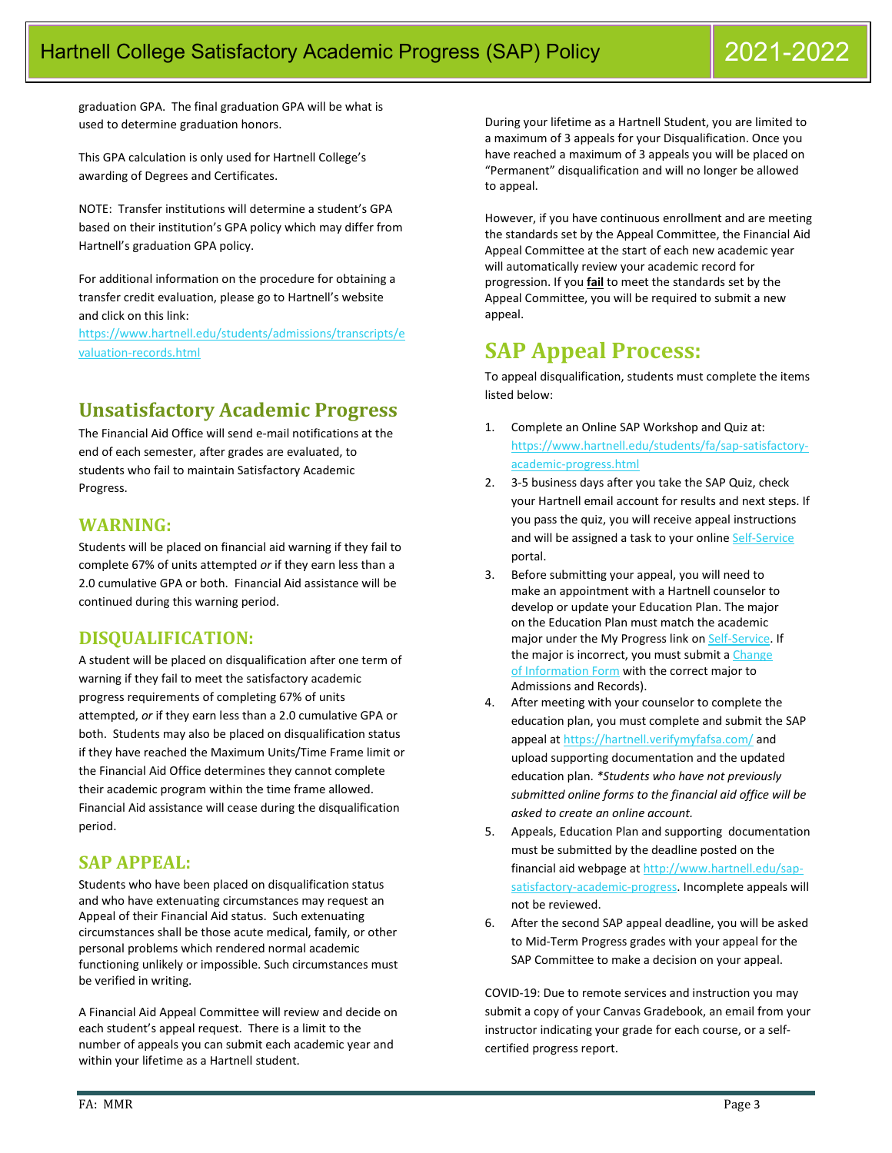graduation GPA. The final graduation GPA will be what is used to determine graduation honors.

This GPA calculation is only used for Hartnell College's awarding of Degrees and Certificates.

NOTE: Transfer institutions will determine a student's GPA based on their institution's GPA policy which may differ from Hartnell's graduation GPA policy.

For additional information on the procedure for obtaining a transfer credit evaluation, please go to Hartnell's website and click on this link:

[https://www.hartnell.edu/students/admissions/transcripts/e](https://www.hartnell.edu/students/admissions/transcripts/evaluation-records.html) [valuation-records.html](https://www.hartnell.edu/students/admissions/transcripts/evaluation-records.html)

## **Unsatisfactory Academic Progress**

The Financial Aid Office will send e-mail notifications at the end of each semester, after grades are evaluated, to students who fail to maintain Satisfactory Academic Progress.

### **WARNING:**

Students will be placed on financial aid warning if they fail to complete 67% of units attempted *or* if they earn less than a 2.0 cumulative GPA or both. Financial Aid assistance will be continued during this warning period.

## **DISQUALIFICATION:**

A student will be placed on disqualification after one term of warning if they fail to meet the satisfactory academic progress requirements of completing 67% of units attempted, *or* if they earn less than a 2.0 cumulative GPA or both. Students may also be placed on disqualification status if they have reached the Maximum Units/Time Frame limit or the Financial Aid Office determines they cannot complete their academic program within the time frame allowed. Financial Aid assistance will cease during the disqualification period.

### **SAP APPEAL:**

Students who have been placed on disqualification status and who have extenuating circumstances may request an Appeal of their Financial Aid status. Such extenuating circumstances shall be those acute medical, family, or other personal problems which rendered normal academic functioning unlikely or impossible. Such circumstances must be verified in writing.

A Financial Aid Appeal Committee will review and decide on each student's appeal request. There is a limit to the number of appeals you can submit each academic year and within your lifetime as a Hartnell student.

During your lifetime as a Hartnell Student, you are limited to a maximum of 3 appeals for your Disqualification. Once you have reached a maximum of 3 appeals you will be placed on "Permanent" disqualification and will no longer be allowed to appeal.

However, if you have continuous enrollment and are meeting the standards set by the Appeal Committee, the Financial Aid Appeal Committee at the start of each new academic year will automatically review your academic record for progression. If you **fail** to meet the standards set by the Appeal Committee, you will be required to submit a new appeal.

# **SAP Appeal Process:**

To appeal disqualification, students must complete the items listed below:

- 1. Complete an Online SAP Workshop and Quiz at: [https://www.hartnell.edu/students/fa/sap-satisfactory](https://www.hartnell.edu/students/fa/sap-satisfactory-academic-progress.html)[academic-progress.html](https://www.hartnell.edu/students/fa/sap-satisfactory-academic-progress.html)
- 2. 3-5 business days after you take the SAP Quiz, check your Hartnell email account for results and next steps. If you pass the quiz, you will receive appeal instructions and will be assigned a task to your online [Self-Service](https://stuserv.hartnell.edu:8443/Student/Account/Login) portal.
- 3. Before submitting your appeal, you will need to make an appointment with a Hartnell counselor to develop or update your Education Plan. The major on the Education Plan must match the academic major under the My Progress link o[n Self-Service.](https://stuserv.hartnell.edu:8443/Student/Account/Login) If the major is incorrect, you must submit a Change [of Information Form](https://www.hartnell.edu/students/admissions/admission_record_fillable_forms/change_of_nformation_20-21.fillable.pdf) with the correct major to Admissions and Records).
- After meeting with your counselor to complete the education plan, you must complete and submit the SAP appeal at<https://hartnell.verifymyfafsa.com/> and upload supporting documentation and the updated education plan. *\*Students who have not previously submitted online forms to the financial aid office will be asked to create an online account.*
- 5. Appeals, Education Plan and supporting documentation must be submitted by the deadline posted on the financial aid webpage at [http://www.hartnell.edu/sap](http://www.hartnell.edu/sap-satisfactory-academic-progress)[satisfactory-academic-progress.](http://www.hartnell.edu/sap-satisfactory-academic-progress) Incomplete appeals will not be reviewed.
- 6. After the second SAP appeal deadline, you will be asked to Mid-Term Progress grades with your appeal for the SAP Committee to make a decision on your appeal.

COVID-19: Due to remote services and instruction you may submit a copy of your Canvas Gradebook, an email from your instructor indicating your grade for each course, or a selfcertified progress report.